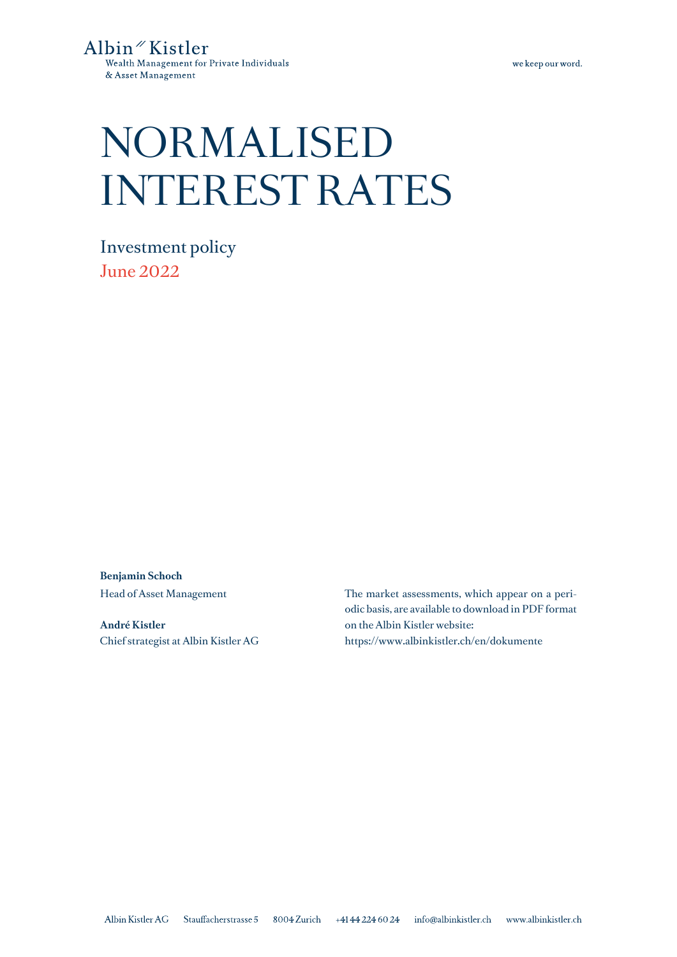we keep our word.

# NORMALISED INTEREST RATES

Investment policy June 2022

**Benjamin Schoch** Head of Asset Management

**André Kistler** Chief strategist at Albin Kistler AG The market assessments, which appear on a periodic basis, are available to download in PDF format on the Albin Kistler website: https://www.albinkistler.ch/en/dokumente